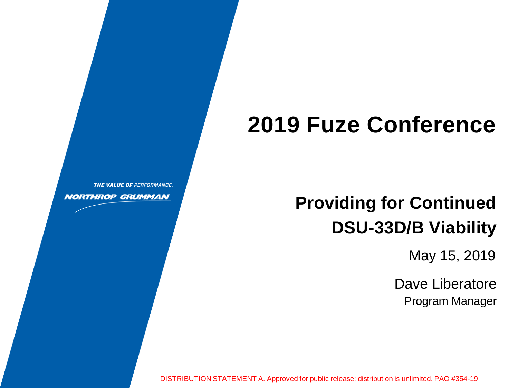# **2019 Fuze Conference**

**Providing for Continued DSU-33D/B Viability**

May 15, 2019

Dave Liberatore Program Manager

DISTRIBUTION STATEMENT A. Approved for public release; distribution is unlimited. PAO #354-19

THE VALUE OF PERFORMANCE.

**NORTHROP GRUMMAN**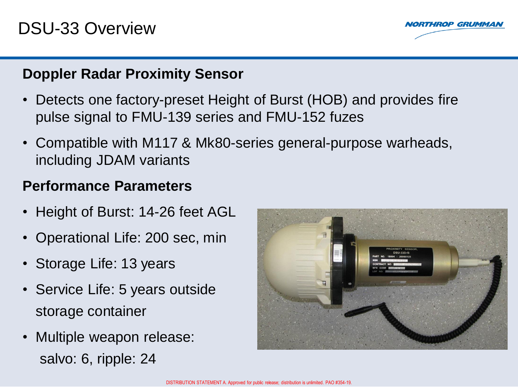

#### **Doppler Radar Proximity Sensor**

- Detects one factory-preset Height of Burst (HOB) and provides fire pulse signal to FMU-139 series and FMU-152 fuzes
- Compatible with M117 & Mk80-series general-purpose warheads, including JDAM variants

#### **Performance Parameters**

- Height of Burst: 14-26 feet AGL
- Operational Life: 200 sec, min
- Storage Life: 13 years
- Service Life: 5 years outside storage container
- Multiple weapon release: salvo: 6, ripple: 24

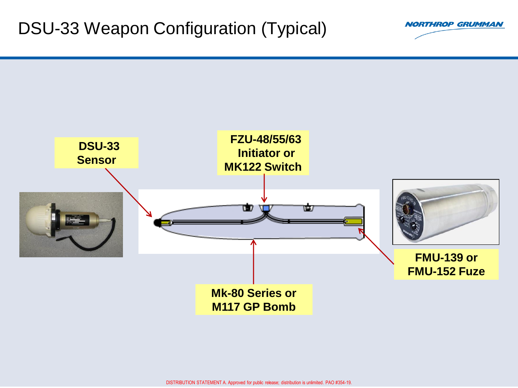### DSU-33 Weapon Configuration (Typical)



**NORTHROP GRUMMAN**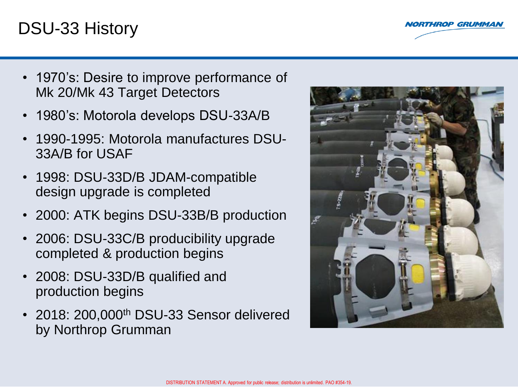#### DSU-33 History



- 1970's: Desire to improve performance of Mk 20/Mk 43 Target Detectors
- 1980's: Motorola develops DSU-33A/B
- 1990-1995: Motorola manufactures DSU-33A/B for USAF
- 1998: DSU-33D/B JDAM-compatible design upgrade is completed
- 2000: ATK begins DSU-33B/B production
- 2006: DSU-33C/B producibility upgrade completed & production begins
- 2008: DSU-33D/B qualified and production begins
- 2018: 200,000<sup>th</sup> DSU-33 Sensor delivered by Northrop Grumman

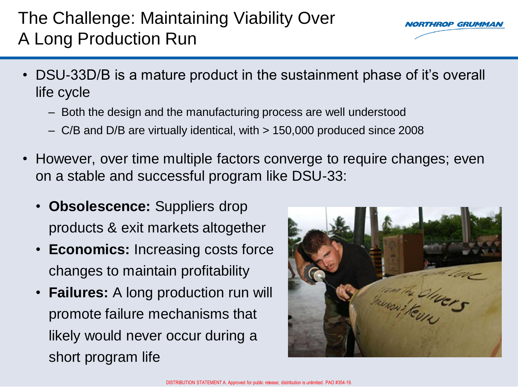# The Challenge: Maintaining Viability Over A Long Production Run



- DSU-33D/B is a mature product in the sustainment phase of it's overall life cycle
	- Both the design and the manufacturing process are well understood
	- C/B and D/B are virtually identical, with > 150,000 produced since 2008
- However, over time multiple factors converge to require changes; even on a stable and successful program like DSU-33:
	- **Obsolescence:** Suppliers drop products & exit markets altogether
	- **Economics:** Increasing costs force changes to maintain profitability
	- **Failures:** A long production run will promote failure mechanisms that likely would never occur during a short program life

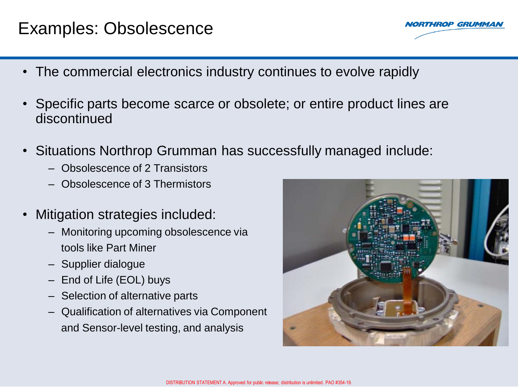### Examples: Obsolescence

- The commercial electronics industry continues to evolve rapidly
- Specific parts become scarce or obsolete; or entire product lines are discontinued
- Situations Northrop Grumman has successfully managed include:
	- Obsolescence of 2 Transistors
	- Obsolescence of 3 Thermistors
- Mitigation strategies included:
	- Monitoring upcoming obsolescence via tools like Part Miner
	- Supplier dialogue
	- End of Life (EOL) buys
	- Selection of alternative parts
	- Qualification of alternatives via Component and Sensor-level testing, and analysis



**HROP GRUMMA**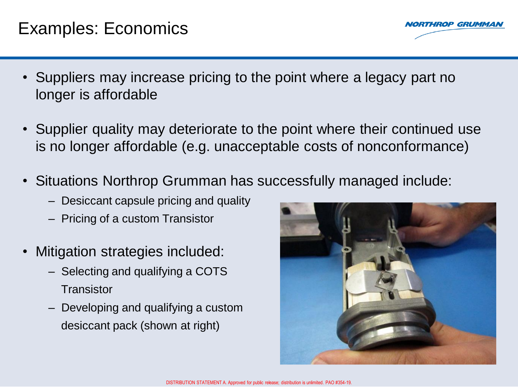#### Examples: Economics

**HROP GRUMMA** 

- Suppliers may increase pricing to the point where a legacy part no longer is affordable
- Supplier quality may deteriorate to the point where their continued use is no longer affordable (e.g. unacceptable costs of nonconformance)
- Situations Northrop Grumman has successfully managed include:
	- Desiccant capsule pricing and quality
	- Pricing of a custom Transistor
- Mitigation strategies included:
	- Selecting and qualifying a COTS **Transistor**
	- Developing and qualifying a custom desiccant pack (shown at right)

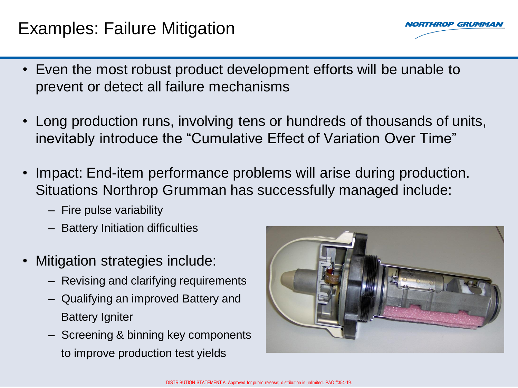### Examples: Failure Mitigation



- Even the most robust product development efforts will be unable to prevent or detect all failure mechanisms
- Long production runs, involving tens or hundreds of thousands of units, inevitably introduce the "Cumulative Effect of Variation Over Time"
- Impact: End-item performance problems will arise during production. Situations Northrop Grumman has successfully managed include:
	- Fire pulse variability
	- Battery Initiation difficulties
- Mitigation strategies include:
	- Revising and clarifying requirements
	- Qualifying an improved Battery and Battery Igniter
	- Screening & binning key components to improve production test yields

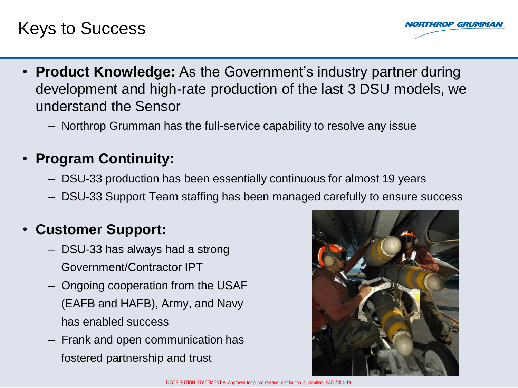### Keys to Success



- **Product Knowledge:** As the Government's industry partner during development and high-rate production of the last 3 DSU models, we understand the Sensor
	- Northrop Grumman has the full-service capability to resolve any issue

#### • **Program Continuity:**

- DSU-33 production has been essentially continuous for almost 19 years
- DSU-33 Support Team staffing has been managed carefully to ensure success

#### • **Customer Support:**

- DSU-33 has always had a strong Government/Contractor IPT
- Ongoing cooperation from the USAF (EAFB and HAFB), Army, and Navy has enabled success
- Frank and open communication has fostered partnership and trust

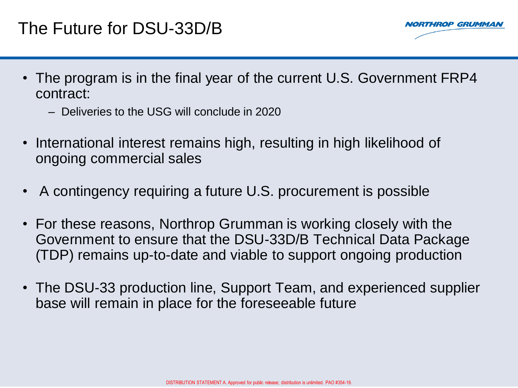

- The program is in the final year of the current U.S. Government FRP4 contract:
	- Deliveries to the USG will conclude in 2020
- International interest remains high, resulting in high likelihood of ongoing commercial sales
- A contingency requiring a future U.S. procurement is possible
- For these reasons, Northrop Grumman is working closely with the Government to ensure that the DSU-33D/B Technical Data Package (TDP) remains up-to-date and viable to support ongoing production
- The DSU-33 production line, Support Team, and experienced supplier base will remain in place for the foreseeable future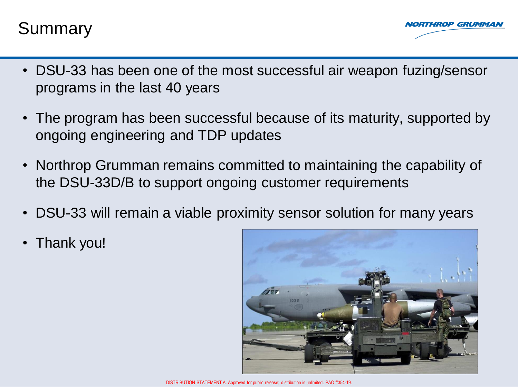#### Summary



- DSU-33 has been one of the most successful air weapon fuzing/sensor programs in the last 40 years
- The program has been successful because of its maturity, supported by ongoing engineering and TDP updates
- Northrop Grumman remains committed to maintaining the capability of the DSU-33D/B to support ongoing customer requirements
- DSU-33 will remain a viable proximity sensor solution for many years
- Thank you!